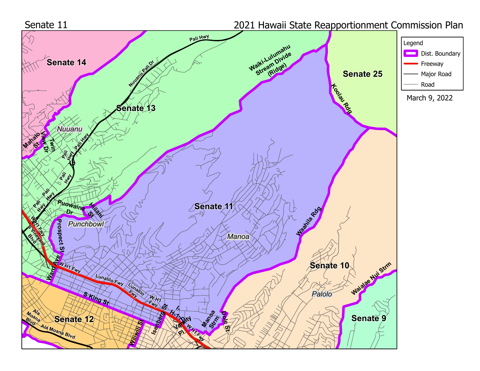